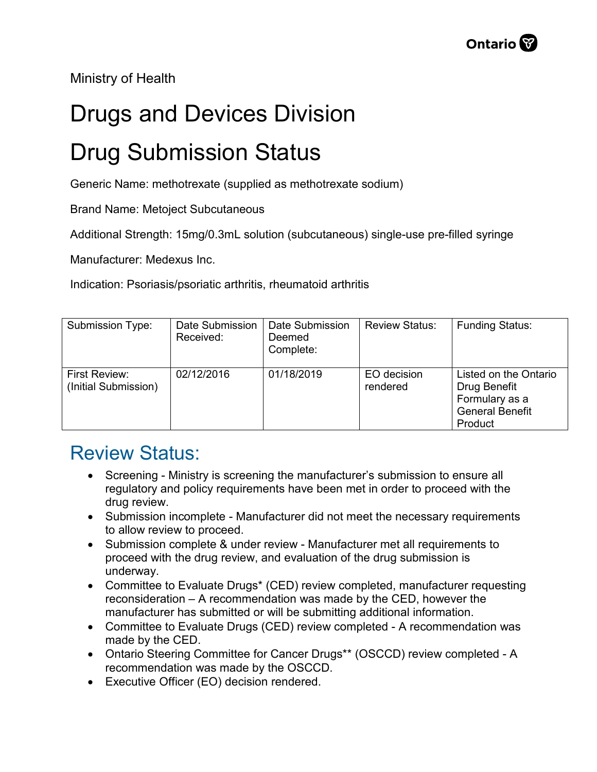Ministry of Health

## Drugs and Devices Division

## Drug Submission Status

Generic Name: methotrexate (supplied as methotrexate sodium)

Brand Name: Metoject Subcutaneous

Additional Strength: 15mg/0.3mL solution (subcutaneous) single-use pre-filled syringe

Manufacturer: Medexus Inc.

Indication: Psoriasis/psoriatic arthritis, rheumatoid arthritis

| Submission Type:                             | Date Submission<br>Received: | Date Submission<br>Deemed<br>Complete: | <b>Review Status:</b>   | <b>Funding Status:</b>                                                                       |
|----------------------------------------------|------------------------------|----------------------------------------|-------------------------|----------------------------------------------------------------------------------------------|
| <b>First Review:</b><br>(Initial Submission) | 02/12/2016                   | 01/18/2019                             | EO decision<br>rendered | Listed on the Ontario<br>Drug Benefit<br>Formulary as a<br><b>General Benefit</b><br>Product |

## Review Status:

- Screening Ministry is screening the manufacturer's submission to ensure all regulatory and policy requirements have been met in order to proceed with the drug review.
- Submission incomplete Manufacturer did not meet the necessary requirements to allow review to proceed.
- Submission complete & under review Manufacturer met all requirements to proceed with the drug review, and evaluation of the drug submission is underway.
- Committee to Evaluate Drugs\* (CED) review completed, manufacturer requesting reconsideration – A recommendation was made by the CED, however the manufacturer has submitted or will be submitting additional information.
- Committee to Evaluate Drugs (CED) review completed A recommendation was made by the CED.
- Ontario Steering Committee for Cancer Drugs\*\* (OSCCD) review completed A recommendation was made by the OSCCD.
- Executive Officer (EO) decision rendered.